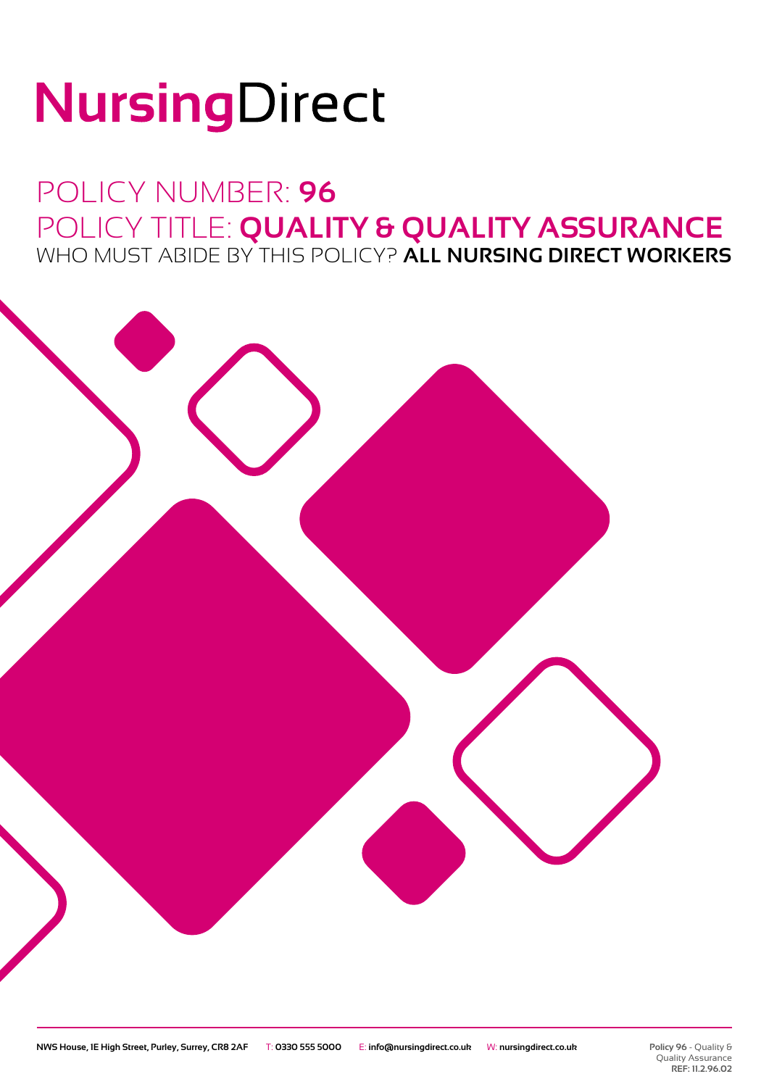# NursingDirect

### POLICY NUMBER: **96** POLICY TITLE: **QUALITY & QUALITY ASSURANCE** WHO MUST ABIDE BY THIS POLICY? **ALL NURSING DIRECT WORKERS**

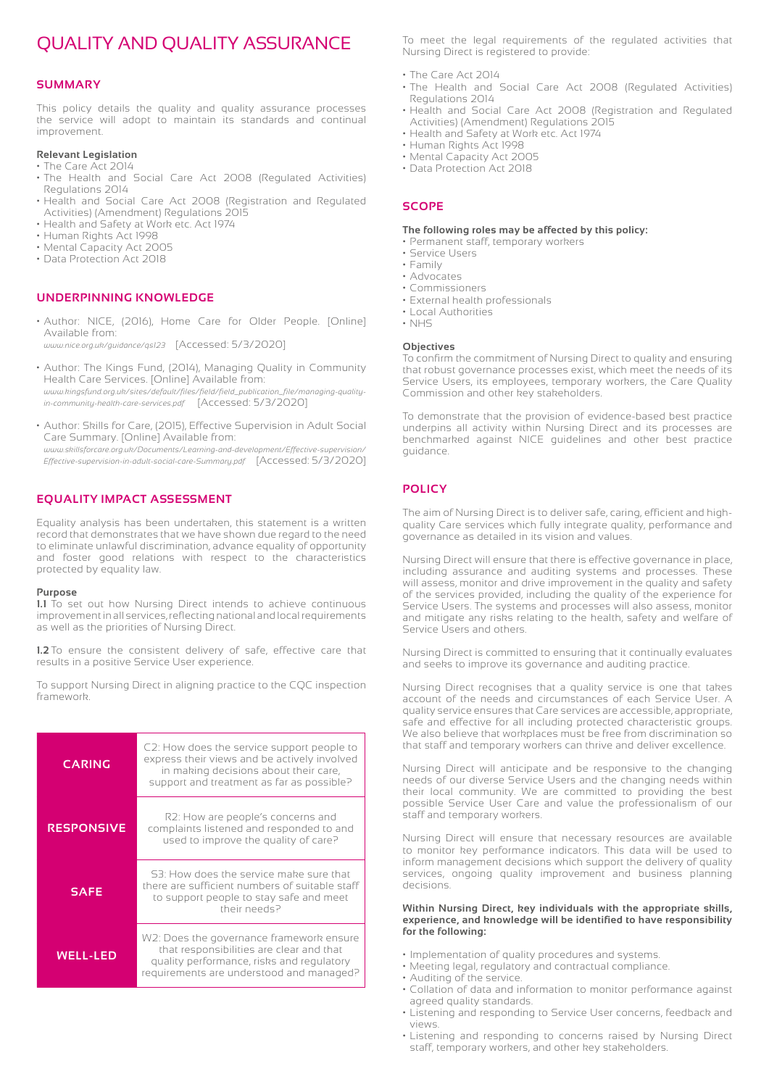#### QUALITY AND QUALITY ASSURANCE

#### **SUMMARY**

This policy details the quality and quality assurance processes the service will adopt to maintain its standards and continual improvement.

#### **Relevant Legislation**

- The Care Act 2014 • The Health and Social Care Act 2008 (Regulated Activities) Regulations 2014
- Health and Social Care Act 2008 (Registration and Regulated Activities) (Amendment) Regulations 2015
- Health and Safety at Work etc. Act 1974
- Human Rights Act 1998
- Mental Capacity Act 2005
- Data Protection Act 2018

#### **UNDERPINNING KNOWLEDGE**

• Author: NICE, (2016), Home Care for Older People. [Online] Available from:

*www.nice.org.uk/guidance/qs123* [Accessed: 5/3/2020]

- Author: The Kings Fund, (2014), Managing Quality in Community Health Care Services. [Online] Available from: *www.kingsfund.org.uk/sites/default/files/field/field\_publication\_file/managing-qualityin-community-health-care-services.pdf* [Accessed: 5/3/2020]
- Author: Skills for Care, (2015), Effective Supervision in Adult Social Care Summary. [Online] Available from:

*www.skillsforcare.org.uk/Documents/Learning-and-development/Effective-supervision/ Effective-supervision-in-adult-social-care-Summary.pdf* [Accessed: 5/3/2020]

#### **EQUALITY IMPACT ASSESSMENT**

Equality analysis has been undertaken, this statement is a written record that demonstrates that we have shown due regard to the need to eliminate unlawful discrimination, advance equality of opportunity and foster good relations with respect to the characteristics protected by equality law.

#### **Purpose**

**1.1** To set out how Nursing Direct intends to achieve continuous improvement in all services, reflecting national and local requirements as well as the priorities of Nursing Direct.

**1.2** To ensure the consistent delivery of safe, effective care that results in a positive Service User experience.

To support Nursing Direct in aligning practice to the CQC inspection framework.

| <b>CARING</b>     | C2: How does the service support people to<br>express their views and be actively involved<br>in making decisions about their care,<br>support and treatment as far as possible? |
|-------------------|----------------------------------------------------------------------------------------------------------------------------------------------------------------------------------|
| <b>RESPONSIVE</b> | R2: How are people's concerns and<br>complaints listened and responded to and<br>used to improve the quality of care?                                                            |
| <b>SAFE</b>       | S3: How does the service make sure that<br>there are sufficient numbers of suitable staff<br>to support people to stay safe and meet<br>Their needs?                             |
| <b>WELL-LED</b>   | W2: Does the governance framework ensure<br>that responsibilities are clear and that<br>quality performance, risks and regulatory<br>requirements are understood and managed?    |

To meet the legal requirements of the regulated activities that Nursing Direct is registered to provide:

- The Care Act 2014
- The Health and Social Care Act 2008 (Regulated Activities) Regulations 2014
- Health and Social Care Act 2008 (Registration and Regulated Activities) (Amendment) Regulations 2015
- Health and Safety at Work etc. Act 1974
- Human Rights Act 1998
- Mental Capacity Act 2005
- Data Protection Act 2018

#### **SCOPE**

#### **The following roles may be affected by this policy:**

- Permanent staff, temporary workers
- Service Users • Family
- Advocates
- Commissioners
- External health professionals
- Local Authorities
- NHS

#### **Objectives**

To confirm the commitment of Nursing Direct to quality and ensuring that robust governance processes exist, which meet the needs of its Service Users, its employees, temporary workers, the Care Quality Commission and other key stakeholders.

To demonstrate that the provision of evidence-based best practice underpins all activity within Nursing Direct and its processes are benchmarked against NICE guidelines and other best practice guidance.

#### **POLICY**

The aim of Nursing Direct is to deliver safe, caring, efficient and highquality Care services which fully integrate quality, performance and governance as detailed in its vision and values.

Nursing Direct will ensure that there is effective governance in place, including assurance and auditing systems and processes. These will assess, monitor and drive improvement in the quality and safety of the services provided, including the quality of the experience for Service Users. The systems and processes will also assess, monitor and mitigate any risks relating to the health, safety and welfare of Service Users and others.

Nursing Direct is committed to ensuring that it continually evaluates and seeks to improve its governance and auditing practice.

Nursing Direct recognises that a quality service is one that takes account of the needs and circumstances of each Service User. A quality service ensures that Care services are accessible, appropriate, safe and effective for all including protected characteristic groups. We also believe that workplaces must be free from discrimination so that staff and temporary workers can thrive and deliver excellence.

Nursing Direct will anticipate and be responsive to the changing needs of our diverse Service Users and the changing needs within their local community. We are committed to providing the best possible Service User Care and value the professionalism of our staff and temporary workers.

Nursing Direct will ensure that necessary resources are available to monitor key performance indicators. This data will be used to inform management decisions which support the delivery of quality services, ongoing quality improvement and business planning decisions.

#### **Within Nursing Direct, key individuals with the appropriate skills, experience, and knowledge will be identified to have responsibility for the following:**

- Implementation of quality procedures and systems.
- Meeting legal, regulatory and contractual compliance.
- Auditing of the service.
- Collation of data and information to monitor performance against agreed quality standards.
- Listening and responding to Service User concerns, feedback and views.
- Listening and responding to concerns raised by Nursing Direct staff, temporary workers, and other key stakeholders.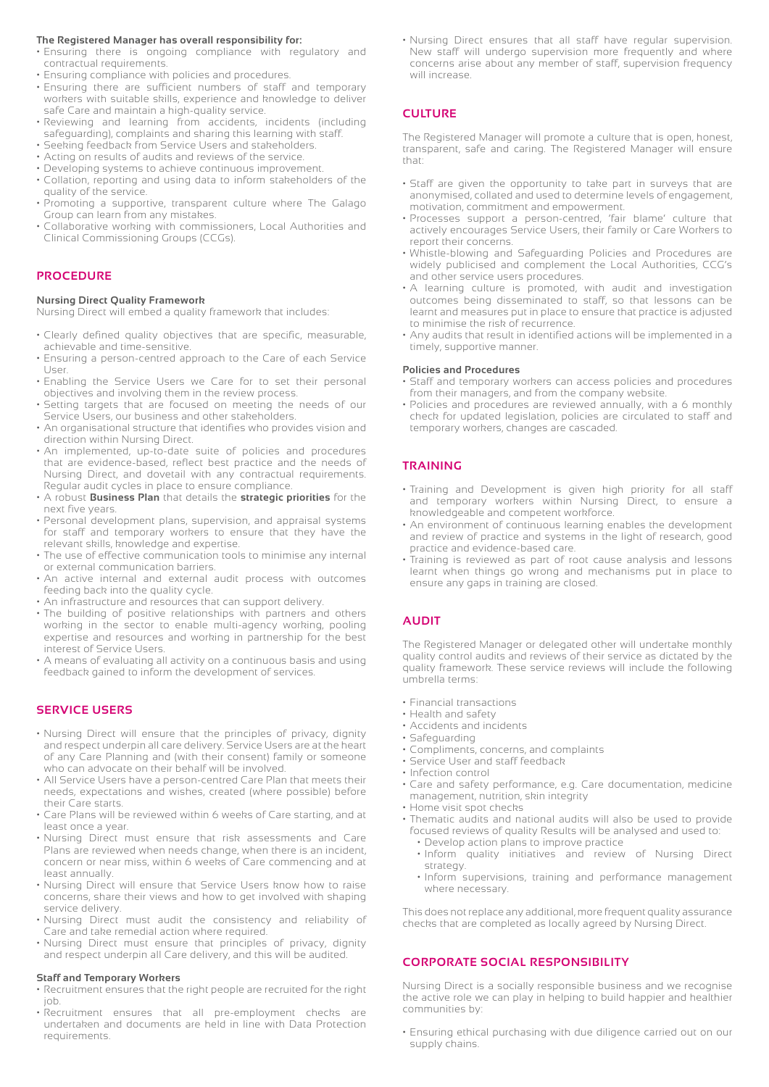#### **The Registered Manager has overall responsibility for:**

- Ensuring there is ongoing compliance with regulatory and contractual requirements.
- Ensuring compliance with policies and procedures.
- Ensuring there are sufficient numbers of staff and temporary workers with suitable skills, experience and knowledge to deliver safe Care and maintain a high-quality service.
- Reviewing and learning from accidents, incidents (including safeguarding), complaints and sharing this learning with staff.
- Seeking feedback from Service Users and stakeholders.
- Acting on results of audits and reviews of the service.
- Developing systems to achieve continuous improvement.
- Collation, reporting and using data to inform stakeholders of the quality of the service.
- Promoting a supportive, transparent culture where The Galago Group can learn from any mistakes.
- Collaborative working with commissioners, Local Authorities and Clinical Commissioning Groups (CCGs).

#### **PROCEDURE**

#### **Nursing Direct Quality Framework**

Nursing Direct will embed a quality framework that includes:

- Clearly defined quality objectives that are specific, measurable, achievable and time-sensitive.
- Ensuring a person-centred approach to the Care of each Service User.
- Enabling the Service Users we Care for to set their personal objectives and involving them in the review process.
- Setting targets that are focused on meeting the needs of our Service Users, our business and other stakeholders.
- An organisational structure that identifies who provides vision and direction within Nursing Direct.
- An implemented, up-to-date suite of policies and procedures that are evidence-based, reflect best practice and the needs of Nursing Direct, and dovetail with any contractual requirements. Regular audit cycles in place to ensure compliance.
- A robust **Business Plan** that details the **strategic priorities** for the next five years.
- Personal development plans, supervision, and appraisal systems for staff and temporary workers to ensure that they have the relevant skills, knowledge and expertise.
- The use of effective communication tools to minimise any internal or external communication barriers.
- An active internal and external audit process with outcomes feeding back into the quality cycle.
- An infrastructure and resources that can support delivery.
- The building of positive relationships with partners and others working in the sector to enable multi-agency working, pooling expertise and resources and working in partnership for the best interest of Service Users.
- A means of evaluating all activity on a continuous basis and using feedback gained to inform the development of services.

#### **SERVICE USERS**

- Nursing Direct will ensure that the principles of privacy, dignity and respect underpin all care delivery. Service Users are at the heart of any Care Planning and (with their consent) family or someone who can advocate on their behalf will be involved.
- All Service Users have a person-centred Care Plan that meets their needs, expectations and wishes, created (where possible) before their Care starts.
- Care Plans will be reviewed within 6 weeks of Care starting, and at least once a year.
- Nursing Direct must ensure that risk assessments and Care Plans are reviewed when needs change, when there is an incident, concern or near miss, within 6 weeks of Care commencing and at least annually.
- Nursing Direct will ensure that Service Users know how to raise concerns, share their views and how to get involved with shaping service delivery.
- Nursing Direct must audit the consistency and reliability of Care and take remedial action where required.
- Nursing Direct must ensure that principles of privacy, dignity and respect underpin all Care delivery, and this will be audited.

#### **Staff and Temporary Workers**

- Recruitment ensures that the right people are recruited for the right job.
- Recruitment ensures that all pre-employment checks are undertaken and documents are held in line with Data Protection requirements.

• Nursing Direct ensures that all staff have regular supervision. New staff will undergo supervision more frequently and where concerns arise about any member of staff, supervision frequency will increase

#### **CULTURE**

The Registered Manager will promote a culture that is open, honest, transparent, safe and caring. The Registered Manager will ensure that:

- Staff are given the opportunity to take part in surveys that are anonymised, collated and used to determine levels of engagement, motivation, commitment and empowerment.
- Processes support a person-centred, 'fair blame' culture that actively encourages Service Users, their family or Care Workers to report their concerns.
- Whistle-blowing and Safeguarding Policies and Procedures are widely publicised and complement the Local Authorities, CCG's and other service users procedures.
- A learning culture is promoted, with audit and investigation outcomes being disseminated to staff, so that lessons can be learnt and measures put in place to ensure that practice is adjusted to minimise the risk of recurrence.
- Any audits that result in identified actions will be implemented in a timely, supportive manner.

#### **Policies and Procedures**

- Staff and temporary workers can access policies and procedures from their managers, and from the company website.
- Policies and procedures are reviewed annually, with a 6 monthly check for updated legislation, policies are circulated to staff and temporary workers, changes are cascaded.

#### **TRAINING**

- Training and Development is given high priority for all staff and temporary workers within Nursing Direct, to ensure a knowledgeable and competent workforce.
- An environment of continuous learning enables the development and review of practice and systems in the light of research, good practice and evidence-based care.
- Training is reviewed as part of root cause analysis and lessons learnt when things go wrong and mechanisms put in place to ensure any gaps in training are closed.

#### **AUDIT**

The Registered Manager or delegated other will undertake monthly quality control audits and reviews of their service as dictated by the quality framework. These service reviews will include the following umbrella terms:

- Financial transactions
- Health and safety
- Accidents and incidents
- Safeguarding
- Compliments, concerns, and complaints
- Service User and staff feedback
- Infection control
- Care and safety performance, e.g. Care documentation, medicine management, nutrition, skin integrity
- Home visit spot checks
- Thematic audits and national audits will also be used to provide focused reviews of quality Results will be analysed and used to:
	- Develop action plans to improve practice
	- Inform quality initiatives and review of Nursing Direct strategy.
	- Inform supervisions, training and performance management where necessary.

This does not replace any additional, more frequent quality assurance checks that are completed as locally agreed by Nursing Direct.

#### **CORPORATE SOCIAL RESPONSIBILITY**

Nursing Direct is a socially responsible business and we recognise the active role we can play in helping to build happier and healthier communities by:

• Ensuring ethical purchasing with due diligence carried out on our supply chains.